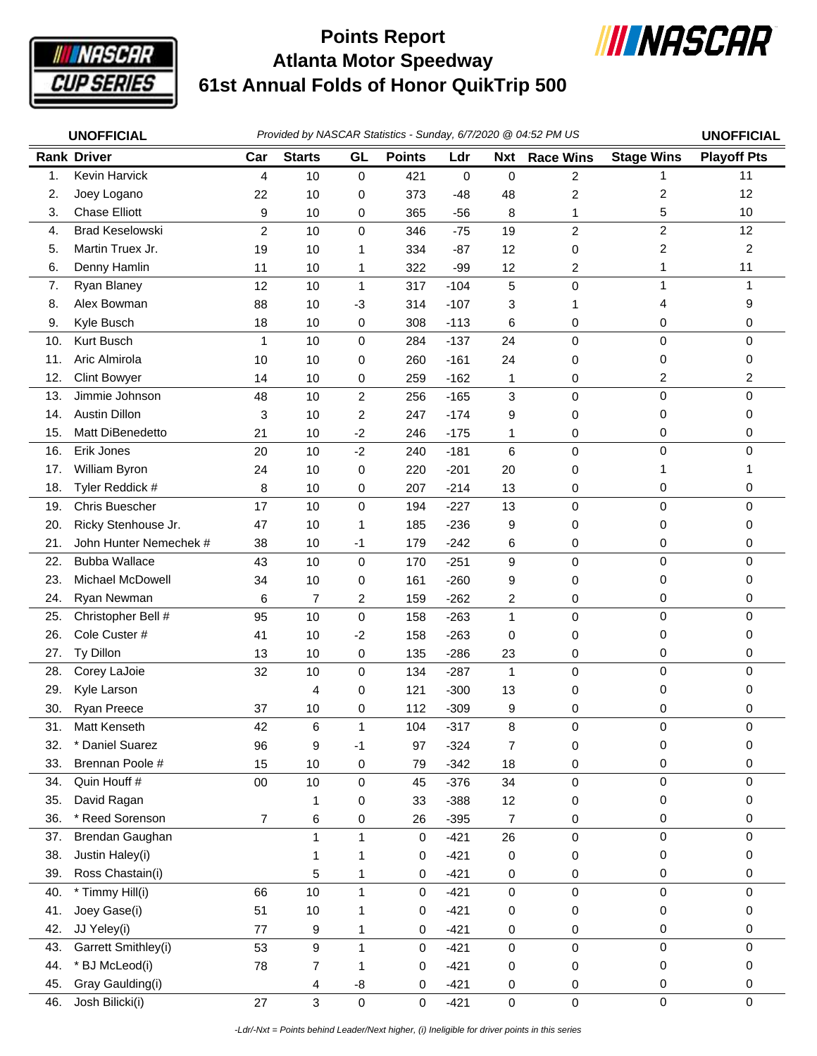

## **Atlanta Motor Speedway 61st Annual Folds of Honor QuikTrip 500 Points Report**



|     | <b>UNOFFICIAL</b>      | Provided by NASCAR Statistics - Sunday, 6/7/2020 @ 04:52 PM US |               |                |               |        |                |                  |                         | <b>UNOFFICIAL</b>  |
|-----|------------------------|----------------------------------------------------------------|---------------|----------------|---------------|--------|----------------|------------------|-------------------------|--------------------|
|     | <b>Rank Driver</b>     | Car                                                            | <b>Starts</b> | GL             | <b>Points</b> | Ldr    | <b>Nxt</b>     | <b>Race Wins</b> | <b>Stage Wins</b>       | <b>Playoff Pts</b> |
| 1.  | Kevin Harvick          | 4                                                              | 10            | 0              | 421           | 0      | $\mathbf 0$    | 2                | $\mathbf{1}$            | 11                 |
| 2.  | Joey Logano            | 22                                                             | 10            | 0              | 373           | $-48$  | 48             | 2                | 2                       | 12                 |
| 3.  | <b>Chase Elliott</b>   | 9                                                              | 10            | 0              | 365           | $-56$  | 8              | 1                | 5                       | 10                 |
| 4.  | <b>Brad Keselowski</b> | $\overline{2}$                                                 | 10            | 0              | 346           | $-75$  | 19             | $\overline{c}$   | $\overline{c}$          | 12                 |
| 5.  | Martin Truex Jr.       | 19                                                             | 10            | 1              | 334           | $-87$  | 12             | 0                | $\overline{\mathbf{c}}$ | $\overline{c}$     |
| 6.  | Denny Hamlin           | 11                                                             | 10            | 1              | 322           | $-99$  | 12             | 2                | 1                       | 11                 |
| 7.  | Ryan Blaney            | 12                                                             | 10            | 1              | 317           | $-104$ | 5              | 0                | 1                       | 1                  |
| 8.  | Alex Bowman            | 88                                                             | 10            | $-3$           | 314           | $-107$ | 3              | 1                | 4                       | 9                  |
| 9.  | Kyle Busch             | 18                                                             | 10            | $\pmb{0}$      | 308           | $-113$ | 6              | 0                | 0                       | 0                  |
| 10. | Kurt Busch             | 1                                                              | 10            | 0              | 284           | $-137$ | 24             | $\mathbf 0$      | 0                       | $\mathbf 0$        |
| 11. | Aric Almirola          | 10                                                             | 10            | 0              | 260           | $-161$ | 24             | 0                | 0                       | 0                  |
| 12. | <b>Clint Bowyer</b>    | 14                                                             | 10            | 0              | 259           | $-162$ | 1              | 0                | 2                       | 2                  |
| 13. | Jimmie Johnson         | 48                                                             | 10            | 2              | 256           | $-165$ | $\mathbf 3$    | 0                | 0                       | $\mathbf 0$        |
| 14. | <b>Austin Dillon</b>   | 3                                                              | 10            | $\overline{c}$ | 247           | $-174$ | 9              | 0                | 0                       | 0                  |
| 15. | Matt DiBenedetto       | 21                                                             | 10            | $-2$           | 246           | $-175$ | 1              | 0                | 0                       | 0                  |
| 16. | Erik Jones             | 20                                                             | 10            | $-2$           | 240           | $-181$ | 6              | $\mathbf 0$      | 0                       | 0                  |
| 17. | William Byron          | 24                                                             | 10            | 0              | 220           | $-201$ | 20             | 0                | 1                       |                    |
| 18. | Tyler Reddick #        | 8                                                              | 10            | 0              | 207           | $-214$ | 13             | 0                | 0                       | 0                  |
| 19. | Chris Buescher         | 17                                                             | 10            | 0              | 194           | $-227$ | 13             | $\mathbf 0$      | 0                       | $\mathbf 0$        |
| 20. | Ricky Stenhouse Jr.    | 47                                                             | 10            | 1              | 185           | $-236$ | 9              | 0                | 0                       | 0                  |
| 21. | John Hunter Nemechek # | 38                                                             | 10            | $-1$           | 179           | $-242$ | 6              | 0                | 0                       | 0                  |
| 22. | <b>Bubba Wallace</b>   | 43                                                             | 10            | $\pmb{0}$      | 170           | $-251$ | 9              | $\mathbf 0$      | 0                       | $\Omega$           |
| 23. | Michael McDowell       | 34                                                             | 10            | 0              | 161           | $-260$ | 9              | 0                | 0                       | 0                  |
| 24. | Ryan Newman            | 6                                                              | 7             | 2              | 159           | $-262$ | 2              | 0                | 0                       | 0                  |
| 25. | Christopher Bell #     | 95                                                             | 10            | 0              | 158           | $-263$ | 1              | $\mathbf 0$      | 0                       | 0                  |
| 26. | Cole Custer #          | 41                                                             | 10            | $-2$           | 158           | $-263$ | $\mathbf 0$    | 0                | 0                       | 0                  |
| 27. | Ty Dillon              | 13                                                             | 10            | 0              | 135           | $-286$ | 23             | 0                | 0                       | 0                  |
| 28. | Corey LaJoie           | 32                                                             | 10            | 0              | 134           | $-287$ | $\mathbf{1}$   | 0                | 0                       | 0                  |
| 29. | Kyle Larson            |                                                                | 4             | 0              | 121           | $-300$ | 13             | 0                | 0                       | 0                  |
| 30. | Ryan Preece            | 37                                                             | 10            | 0              | 112           | $-309$ | 9              | 0                | 0                       | 0                  |
| 31. | Matt Kenseth           | 42                                                             | 6             | 1              | 104           | $-317$ | 8              | 0                | 0                       |                    |
| 32. | * Daniel Suarez        | 96                                                             | 9             | $-1$           | 97            | $-324$ | $\overline{7}$ | 0                | 0                       | 0                  |
| 33. | Brennan Poole #        | 15                                                             | 10            | 0              | 79            | $-342$ | 18             | 0                | 0                       | 0                  |
| 34. | Quin Houff #           | $00\,$                                                         | 10            | 0              | 45            | $-376$ | 34             | $\pmb{0}$        | 0                       | 0                  |
| 35. | David Ragan            |                                                                | 1             | 0              | 33            | $-388$ | 12             | 0                | 0                       | 0                  |
| 36. | * Reed Sorenson        | $\overline{7}$                                                 | 6             | 0              | 26            | $-395$ | $\overline{7}$ | 0                | 0                       | 0                  |
| 37. | Brendan Gaughan        |                                                                | 1             | 1              | 0             | $-421$ | 26             | 0                | 0                       | 0                  |
| 38. | Justin Haley(i)        |                                                                | 1             |                | 0             | $-421$ | 0              | 0                | 0                       | 0                  |
| 39. | Ross Chastain(i)       |                                                                | 5             | 1              | 0             | $-421$ | 0              | 0                | 0                       | 0                  |
| 40. | * Timmy Hill(i)        | 66                                                             | 10            | 1              | $\pmb{0}$     | $-421$ | $\pmb{0}$      | $\pmb{0}$        | $\mathsf 0$             | 0                  |
| 41. | Joey Gase(i)           | 51                                                             | 10            |                | 0             | $-421$ | 0              | 0                | 0                       | 0                  |
| 42. | JJ Yeley(i)            | 77                                                             | 9             | 1              | 0             | $-421$ | 0              | 0                | 0                       | 0                  |
| 43. | Garrett Smithley(i)    | 53                                                             | 9             | $\mathbf{1}$   | 0             | $-421$ | $\pmb{0}$      | $\pmb{0}$        | $\mathsf 0$             | 0                  |
| 44. | * BJ McLeod(i)         | 78                                                             | 7             | 1              | 0             | $-421$ | 0              | 0                | 0                       | 0                  |
| 45. | Gray Gaulding(i)       |                                                                | 4             | -8             | 0             | $-421$ | 0              | 0                | 0                       | 0                  |
| 46. | Josh Bilicki(i)        | 27                                                             | 3             | 0              | $\mathbf 0$   | $-421$ | $\pmb{0}$      | 0                | $\mathsf 0$             | 0                  |